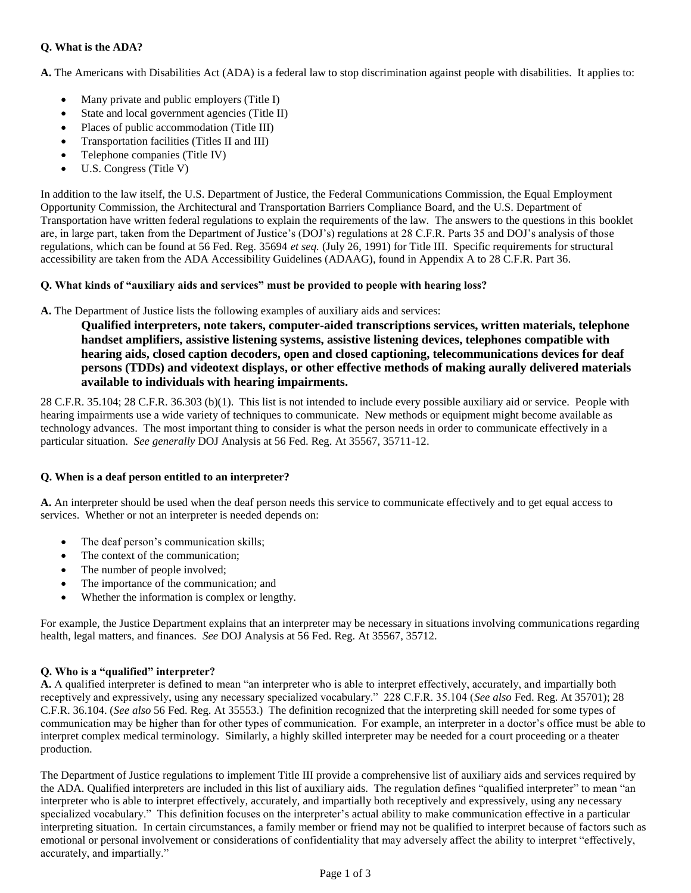# **Q. What is the ADA?**

**A.** The Americans with Disabilities Act (ADA) is a federal law to stop discrimination against people with disabilities. It applies to:

- Many private and public employers (Title I)
- State and local government agencies (Title II)
- Places of public accommodation (Title III)
- Transportation facilities (Titles II and III)
- Telephone companies (Title IV)
- U.S. Congress (Title V)

In addition to the law itself, the U.S. Department of Justice, the Federal Communications Commission, the Equal Employment Opportunity Commission, the Architectural and Transportation Barriers Compliance Board, and the U.S. Department of Transportation have written federal regulations to explain the requirements of the law. The answers to the questions in this booklet are, in large part, taken from the Department of Justice's (DOJ's) regulations at 28 C.F.R. Parts 35 and DOJ's analysis of those regulations, which can be found at 56 Fed. Reg. 35694 *et seq.* (July 26, 1991) for Title III. Specific requirements for structural accessibility are taken from the ADA Accessibility Guidelines (ADAAG), found in Appendix A to 28 C.F.R. Part 36.

## **Q. What kinds of "auxiliary aids and services" must be provided to people with hearing loss?**

**A.** The Department of Justice lists the following examples of auxiliary aids and services:

**Qualified interpreters, note takers, computer-aided transcriptions services, written materials, telephone handset amplifiers, assistive listening systems, assistive listening devices, telephones compatible with hearing aids, closed caption decoders, open and closed captioning, telecommunications devices for deaf persons (TDDs) and videotext displays, or other effective methods of making aurally delivered materials available to individuals with hearing impairments.**

28 C.F.R. 35.104; 28 C.F.R. 36.303 (b)(1). This list is not intended to include every possible auxiliary aid or service. People with hearing impairments use a wide variety of techniques to communicate. New methods or equipment might become available as technology advances. The most important thing to consider is what the person needs in order to communicate effectively in a particular situation. *See generally* DOJ Analysis at 56 Fed. Reg. At 35567, 35711-12.

### **Q. When is a deaf person entitled to an interpreter?**

**A.** An interpreter should be used when the deaf person needs this service to communicate effectively and to get equal access to services. Whether or not an interpreter is needed depends on:

- The deaf person's communication skills;
- The context of the communication;
- The number of people involved;
- The importance of the communication; and
- Whether the information is complex or lengthy.

For example, the Justice Department explains that an interpreter may be necessary in situations involving communications regarding health, legal matters, and finances. *See* DOJ Analysis at 56 Fed. Reg. At 35567, 35712.

### **Q. Who is a "qualified" interpreter?**

**A.** A qualified interpreter is defined to mean "an interpreter who is able to interpret effectively, accurately, and impartially both receptively and expressively, using any necessary specialized vocabulary." 228 C.F.R. 35.104 (*See also* Fed. Reg. At 35701); 28 C.F.R. 36.104. (*See also* 56 Fed. Reg. At 35553.) The definition recognized that the interpreting skill needed for some types of communication may be higher than for other types of communication. For example, an interpreter in a doctor's office must be able to interpret complex medical terminology. Similarly, a highly skilled interpreter may be needed for a court proceeding or a theater production.

The Department of Justice regulations to implement Title III provide a comprehensive list of auxiliary aids and services required by the ADA. Qualified interpreters are included in this list of auxiliary aids. The regulation defines "qualified interpreter" to mean "an interpreter who is able to interpret effectively, accurately, and impartially both receptively and expressively, using any necessary specialized vocabulary." This definition focuses on the interpreter's actual ability to make communication effective in a particular interpreting situation. In certain circumstances, a family member or friend may not be qualified to interpret because of factors such as emotional or personal involvement or considerations of confidentiality that may adversely affect the ability to interpret "effectively, accurately, and impartially."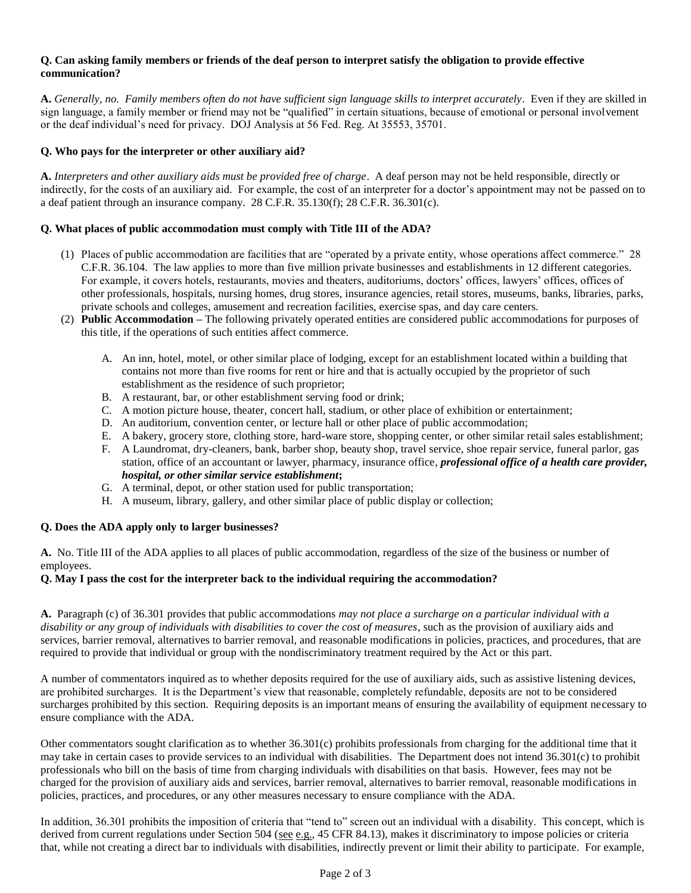#### **Q. Can asking family members or friends of the deaf person to interpret satisfy the obligation to provide effective communication?**

**A.** *Generally, no. Family members often do not have sufficient sign language skills to interpret accurately*. Even if they are skilled in sign language, a family member or friend may not be "qualified" in certain situations, because of emotional or personal involvement or the deaf individual's need for privacy. DOJ Analysis at 56 Fed. Reg. At 35553, 35701.

### **Q. Who pays for the interpreter or other auxiliary aid?**

**A.** *Interpreters and other auxiliary aids must be provided free of charge*. A deaf person may not be held responsible, directly or indirectly, for the costs of an auxiliary aid. For example, the cost of an interpreter for a doctor's appointment may not be passed on to a deaf patient through an insurance company. 28 C.F.R. 35.130(f); 28 C.F.R. 36.301(c).

### **Q. What places of public accommodation must comply with Title III of the ADA?**

- (1) Places of public accommodation are facilities that are "operated by a private entity, whose operations affect commerce." 28 C.F.R. 36.104. The law applies to more than five million private businesses and establishments in 12 different categories. For example, it covers hotels, restaurants, movies and theaters, auditoriums, doctors' offices, lawyers' offices, offices of other professionals, hospitals, nursing homes, drug stores, insurance agencies, retail stores, museums, banks, libraries, parks, private schools and colleges, amusement and recreation facilities, exercise spas, and day care centers.
- (2) **Public Accommodation –** The following privately operated entities are considered public accommodations for purposes of this title, if the operations of such entities affect commerce.
	- A. An inn, hotel, motel, or other similar place of lodging, except for an establishment located within a building that contains not more than five rooms for rent or hire and that is actually occupied by the proprietor of such establishment as the residence of such proprietor;
	- B. A restaurant, bar, or other establishment serving food or drink;
	- C. A motion picture house, theater, concert hall, stadium, or other place of exhibition or entertainment;
	- D. An auditorium, convention center, or lecture hall or other place of public accommodation;
	- E. A bakery, grocery store, clothing store, hard-ware store, shopping center, or other similar retail sales establishment;
	- F. A Laundromat, dry-cleaners, bank, barber shop, beauty shop, travel service, shoe repair service, funeral parlor, gas station, office of an accountant or lawyer, pharmacy, insurance office*, professional office of a health care provider, hospital, or other similar service establishment***;**
	- G. A terminal, depot, or other station used for public transportation;
	- H. A museum, library, gallery, and other similar place of public display or collection;

# **Q. Does the ADA apply only to larger businesses?**

**A.** No. Title III of the ADA applies to all places of public accommodation, regardless of the size of the business or number of employees.

### **Q. May I pass the cost for the interpreter back to the individual requiring the accommodation?**

**A.** Paragraph (c) of 36.301 provides that public accommodations *may not place a surcharge on a particular individual with a disability or any group of individuals with disabilities to cover the cost of measures*, such as the provision of auxiliary aids and services, barrier removal, alternatives to barrier removal, and reasonable modifications in policies, practices, and procedures, that are required to provide that individual or group with the nondiscriminatory treatment required by the Act or this part.

A number of commentators inquired as to whether deposits required for the use of auxiliary aids, such as assistive listening devices, are prohibited surcharges. It is the Department's view that reasonable, completely refundable, deposits are not to be considered surcharges prohibited by this section. Requiring deposits is an important means of ensuring the availability of equipment necessary to ensure compliance with the ADA.

Other commentators sought clarification as to whether 36.301(c) prohibits professionals from charging for the additional time that it may take in certain cases to provide services to an individual with disabilities. The Department does not intend 36.301(c) to prohibit professionals who bill on the basis of time from charging individuals with disabilities on that basis. However, fees may not be charged for the provision of auxiliary aids and services, barrier removal, alternatives to barrier removal, reasonable modifications in policies, practices, and procedures, or any other measures necessary to ensure compliance with the ADA.

In addition, 36.301 prohibits the imposition of criteria that "tend to" screen out an individual with a disability. This concept, which is derived from current regulations under Section 504 (see e.g., 45 CFR 84.13), makes it discriminatory to impose policies or criteria that, while not creating a direct bar to individuals with disabilities, indirectly prevent or limit their ability to participate. For example,